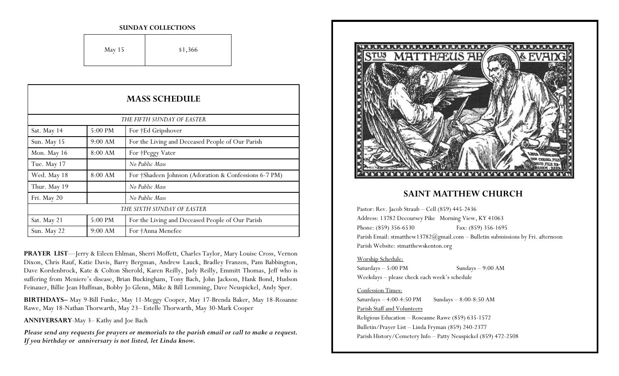#### **SUNDAY COLLECTIONS**

| <b>May 15</b> | \$1,366 |
|---------------|---------|
|---------------|---------|

| <b>MASS SCHEDULE</b>       |         |                                                       |
|----------------------------|---------|-------------------------------------------------------|
| THE FIFTH SUNDAY OF EASTER |         |                                                       |
| Sat. May 14                | 5:00 PM | For †Ed Gripshover                                    |
| Sun. May 15                | 9:00 AM | For the Living and Deceased People of Our Parish      |
| Mon. May 16                | 8:00 AM | For †Peggy Vater                                      |
| Tue. May 17                |         | No Public Mass                                        |
| Wed. May 18                | 8:00 AM | For †Shadeen Johnson (Adoration & Confessions 6-7 PM) |
| Thur. May 19               |         | No Public Mass                                        |
| Fri. May 20                |         | No Public Mass                                        |
| THE SIXTH SUNDAY OF EASTER |         |                                                       |
| Sat. May 21                | 5:00 PM | For the Living and Deceased People of Our Parish      |
| Sun. May 22                | 9:00 AM | For †Anna Menefee                                     |

**PRAYER LIST**—Jerry & Eileen Ehlman, Sherri Moffett, Charles Taylor, Mary Louise Cross, Vernon Dixon, Chris Rauf, Katie Davis, Barry Bergman, Andrew Lauck, Bradley Franzen, Pam Babbington, Dave Kordenbrock, Kate & Colton Sherold, Karen Reilly, Judy Reilly, Emmitt Thomas, Jeff who is suffering from Meniere's disease, Brian Buckingham, Tony Bach, John Jackson, Hank Bond, Hudson Feinauer, Billie Jean Huffman, Bobby Jo Glenn, Mike & Bill Lemming, Dave Neuspickel, Andy Sper.

**BIRTHDAYS–** May 9-Bill Funke, May 11-Meggy Cooper, May 17-Brenda Baker, May 18-Rosanne Rawe, May 18-Nathan Thorwarth, May 23– Estelle Thorwarth, May 30-Mark Cooper

**ANNIVERSARY**-May 3– Kathy and Joe Bach

*Please send any requests for prayers or memorials to the parish email or call to make a request. If you birthday or anniversary is not listed, let Linda know.*



### **SAINT MATTHEW CHURCH**

Pastor: Rev. Jacob Straub – Cell (859) 445-2436 Address: 13782 Decoursey Pike Morning View, KY 41063 Phone: (859) 356-6530 Fax: (859) 356-1695 Parish Email: stmatthew13782@gmail.com - Bulletin submissions by Fri. afternoon Parish Website: stmatthewskenton.org

### Worship Schedule:

Saturdays – 5:00 PM Sundays – 9:00 AM Weekdays – please check each week's schedule

### Confession Times:

Saturdays  $-4:00-4:50 \text{ PM}$  Sundays  $-8:00-8:50 \text{ AM}$ Parish Staff and Volunteers Religious Education – Roseanne Rawe (859) 635-1572 Bulletin/Prayer List – Linda Fryman (859) 240-2377 Parish History/Cemetery Info – Patty Neuspickel (859) 472-2508